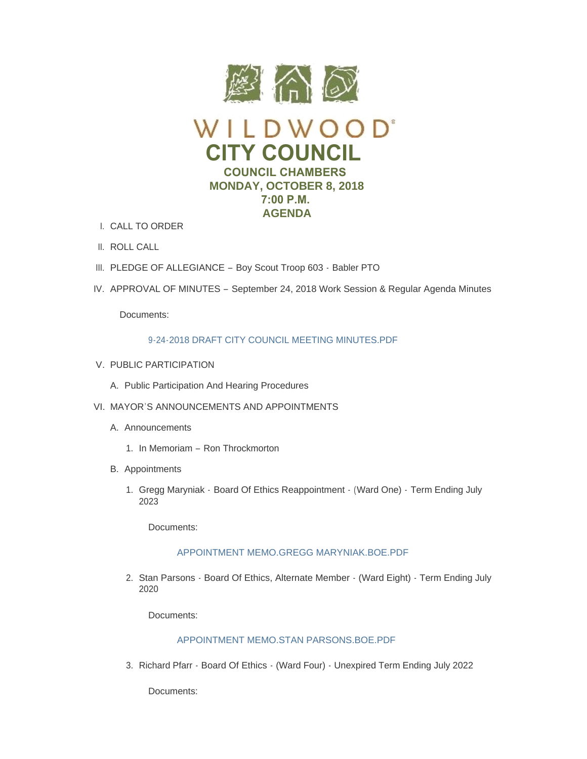

- CALL TO ORDER I.
- II. ROLL CALL
- III. PLEDGE OF ALLEGIANCE Boy Scout Troop 603 Babler PTO
- IV. APPROVAL OF MINUTES September 24, 2018 Work Session & Regular Agenda Minutes

Documents:

## 9-24-2018 DRAFT CITY COUNCIL MEETING MINUTES PDE

- V. PUBLIC PARTICIPATION
	- A. Public Participation And Hearing Procedures
- VI. MAYOR'S ANNOUNCEMENTS AND APPOINTMENTS
	- A. Announcements
		- 1. In Memoriam Ron Throckmorton
	- B. Appointments
		- 1. Gregg Maryniak Board Of Ethics Reappointment (Ward One) Term Ending July 2023

Documents:

## [APPOINTMENT MEMO.GREGG MARYNIAK.BOE.PDF](https://www.cityofwildwood.com/AgendaCenter/ViewFile/Item/17389?fileID=24843)

2. Stan Parsons - Board Of Ethics, Alternate Member - (Ward Eight) - Term Ending July 2020

Documents:

## [APPOINTMENT MEMO.STAN PARSONS.BOE.PDF](https://www.cityofwildwood.com/AgendaCenter/ViewFile/Item/17390?fileID=24846)

3. Richard Pfarr - Board Of Ethics - (Ward Four) - Unexpired Term Ending July 2022

Documents: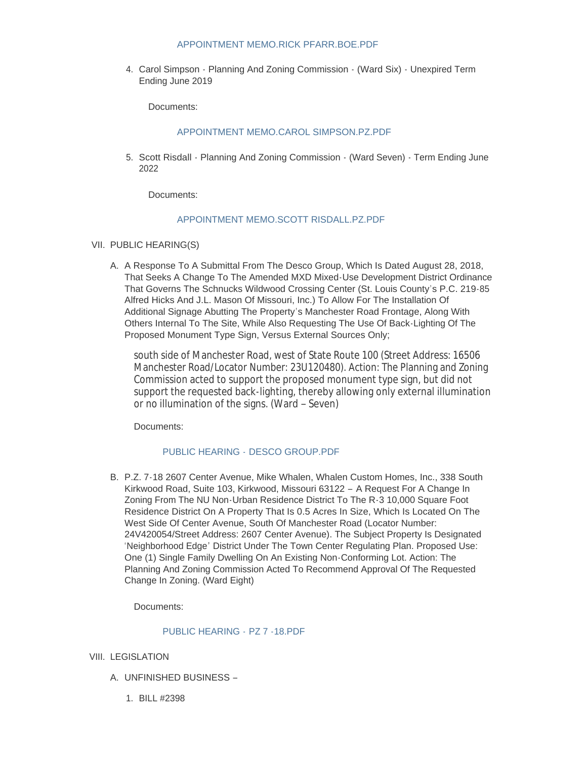### [APPOINTMENT MEMO.RICK PFARR.BOE.PDF](https://www.cityofwildwood.com/AgendaCenter/ViewFile/Item/17391?fileID=24844)

4. Carol Simpson - Planning And Zoning Commission - (Ward Six) - Unexpired Term Ending June 2019

Documents:

# [APPOINTMENT MEMO.CAROL SIMPSON.PZ.PDF](https://www.cityofwildwood.com/AgendaCenter/ViewFile/Item/17392?fileID=24842)

5. Scott Risdall - Planning And Zoning Commission - (Ward Seven) - Term Ending June 2022

Documents:

## [APPOINTMENT MEMO.SCOTT RISDALL.PZ.PDF](https://www.cityofwildwood.com/AgendaCenter/ViewFile/Item/17393?fileID=24845)

- VII. PUBLIC HEARING(S)
	- A. A Response To A Submittal From The Desco Group, Which Is Dated August 28, 2018, That Seeks A Change To The Amended MXD Mixed-Use Development District Ordinance That Governs The Schnucks Wildwood Crossing Center (St. Louis County's P.C. 219-85 Alfred Hicks And J.L. Mason Of Missouri, Inc.) To Allow For The Installation Of Additional Signage Abutting The Property's Manchester Road Frontage, Along With Others Internal To The Site, While Also Requesting The Use Of Back-Lighting Of The Proposed Monument Type Sign, Versus External Sources Only;

south side of Manchester Road, west of State Route 100 (Street Address: 16506 Manchester Road/Locator Number: 23U120480). Action: The Planning and Zoning Commission acted to support the proposed monument type sign, but did not support the requested back-lighting, thereby allowing only external illumination or no illumination of the signs. (Ward – Seven)

Documents:

# PUBLIC HEARING - DESCO GROUP PDF

B. P.Z. 7-18 2607 Center Avenue, Mike Whalen, Whalen Custom Homes, Inc., 338 South Kirkwood Road, Suite 103, Kirkwood, Missouri 63122 – A Request For A Change In Zoning From The NU Non-Urban Residence District To The R-3 10,000 Square Foot Residence District On A Property That Is 0.5 Acres In Size, Which Is Located On The West Side Of Center Avenue, South Of Manchester Road (Locator Number: 24V420054/Street Address: 2607 Center Avenue). The Subject Property Is Designated 'Neighborhood Edge' District Under The Town Center Regulating Plan. Proposed Use: One (1) Single Family Dwelling On An Existing Non-Conforming Lot. Action: The Planning And Zoning Commission Acted To Recommend Approval Of The Requested Change In Zoning. (Ward Eight)

Documents:

## [PUBLIC HEARING -](https://www.cityofwildwood.com/AgendaCenter/ViewFile/Item/17396?fileID=24821) PZ 7 -18.PDF

- VIII. LEGISLATION
	- UNFINISHED BUSINESS A.
		- BILL #2398 1.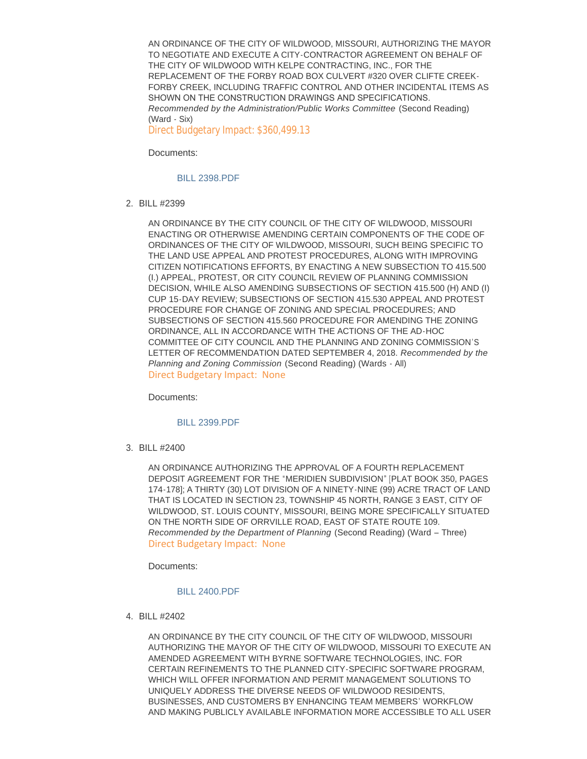AN ORDINANCE OF THE CITY OF WILDWOOD, MISSOURI, AUTHORIZING THE MAYOR TO NEGOTIATE AND EXECUTE A CITY-CONTRACTOR AGREEMENT ON BEHALF OF THE CITY OF WILDWOOD WITH KELPE CONTRACTING, INC., FOR THE REPLACEMENT OF THE FORBY ROAD BOX CULVERT #320 OVER CLIFTE CREEK-FORBY CREEK, INCLUDING TRAFFIC CONTROL AND OTHER INCIDENTAL ITEMS AS SHOWN ON THE CONSTRUCTION DRAWINGS AND SPECIFICATIONS. *Recommended by the Administration/Public Works Committee* (Second Reading) (Ward - Six)

Direct Budgetary Impact: \$360,499.13

Documents:

[BILL 2398.PDF](https://www.cityofwildwood.com/AgendaCenter/ViewFile/Item/17399?fileID=24822)

BILL #2399 2.

AN ORDINANCE BY THE CITY COUNCIL OF THE CITY OF WILDWOOD, MISSOURI ENACTING OR OTHERWISE AMENDING CERTAIN COMPONENTS OF THE CODE OF ORDINANCES OF THE CITY OF WILDWOOD, MISSOURI, SUCH BEING SPECIFIC TO THE LAND USE APPEAL AND PROTEST PROCEDURES, ALONG WITH IMPROVING CITIZEN NOTIFICATIONS EFFORTS, BY ENACTING A NEW SUBSECTION TO 415.500 (I.) APPEAL, PROTEST, OR CITY COUNCIL REVIEW OF PLANNING COMMISSION DECISION, WHILE ALSO AMENDING SUBSECTIONS OF SECTION 415.500 (H) AND (I) CUP 15-DAY REVIEW; SUBSECTIONS OF SECTION 415.530 APPEAL AND PROTEST PROCEDURE FOR CHANGE OF ZONING AND SPECIAL PROCEDURES; AND SUBSECTIONS OF SECTION 415.560 PROCEDURE FOR AMENDING THE ZONING ORDINANCE, ALL IN ACCORDANCE WITH THE ACTIONS OF THE AD-HOC COMMITTEE OF CITY COUNCIL AND THE PLANNING AND ZONING COMMISSION'S LETTER OF RECOMMENDATION DATED SEPTEMBER 4, 2018. *Recommended by the Planning and Zoning Commission* (Second Reading) (Wards - All) Direct Budgetary Impact: None

Documents:

### [BILL 2399.PDF](https://www.cityofwildwood.com/AgendaCenter/ViewFile/Item/17400?fileID=24823)

BILL #2400 3.

AN ORDINANCE AUTHORIZING THE APPROVAL OF A FOURTH REPLACEMENT DEPOSIT AGREEMENT FOR THE "MERIDIEN SUBDIVISION" [PLAT BOOK 350, PAGES 174-178]; A THIRTY (30) LOT DIVISION OF A NINETY-NINE (99) ACRE TRACT OF LAND THAT IS LOCATED IN SECTION 23, TOWNSHIP 45 NORTH, RANGE 3 EAST, CITY OF WILDWOOD, ST. LOUIS COUNTY, MISSOURI, BEING MORE SPECIFICALLY SITUATED ON THE NORTH SIDE OF ORRVILLE ROAD, EAST OF STATE ROUTE 109. *Recommended by the Department of Planning* (Second Reading) (Ward – Three) Direct Budgetary Impact: None

Documents:

#### [BILL 2400.PDF](https://www.cityofwildwood.com/AgendaCenter/ViewFile/Item/17401?fileID=24824)

BILL #2402 4.

AN ORDINANCE BY THE CITY COUNCIL OF THE CITY OF WILDWOOD, MISSOURI AUTHORIZING THE MAYOR OF THE CITY OF WILDWOOD, MISSOURI TO EXECUTE AN AMENDED AGREEMENT WITH BYRNE SOFTWARE TECHNOLOGIES, INC. FOR CERTAIN REFINEMENTS TO THE PLANNED CITY-SPECIFIC SOFTWARE PROGRAM, WHICH WILL OFFER INFORMATION AND PERMIT MANAGEMENT SOLUTIONS TO UNIQUELY ADDRESS THE DIVERSE NEEDS OF WILDWOOD RESIDENTS, BUSINESSES, AND CUSTOMERS BY ENHANCING TEAM MEMBERS' WORKFLOW AND MAKING PUBLICLY AVAILABLE INFORMATION MORE ACCESSIBLE TO ALL USER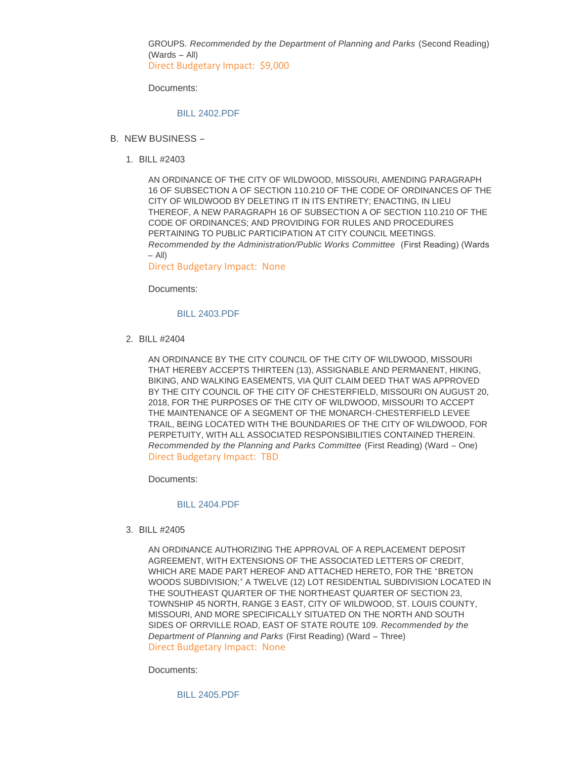GROUPS. *Recommended by the Department of Planning and Parks* (Second Reading) (Wards – All) Direct Budgetary Impact: \$9,000

Documents:

[BILL 2402.PDF](https://www.cityofwildwood.com/AgendaCenter/ViewFile/Item/17402?fileID=24825)

- B. NEW BUSINESS
	- BILL #2403 1.

AN ORDINANCE OF THE CITY OF WILDWOOD, MISSOURI, AMENDING PARAGRAPH 16 OF SUBSECTION A OF SECTION 110.210 OF THE CODE OF ORDINANCES OF THE CITY OF WILDWOOD BY DELETING IT IN ITS ENTIRETY; ENACTING, IN LIEU THEREOF, A NEW PARAGRAPH 16 OF SUBSECTION A OF SECTION 110.210 OF THE CODE OF ORDINANCES; AND PROVIDING FOR RULES AND PROCEDURES PERTAINING TO PUBLIC PARTICIPATION AT CITY COUNCIL MEETINGS. *Recommended by the Administration/Public Works Committee* (First Reading) (Wards  $-$  All $)$ 

Direct Budgetary Impact: None

Documents:

### [BILL 2403.PDF](https://www.cityofwildwood.com/AgendaCenter/ViewFile/Item/17404?fileID=24826)

BILL #2404 2.

AN ORDINANCE BY THE CITY COUNCIL OF THE CITY OF WILDWOOD, MISSOURI THAT HEREBY ACCEPTS THIRTEEN (13), ASSIGNABLE AND PERMANENT, HIKING, BIKING, AND WALKING EASEMENTS, VIA QUIT CLAIM DEED THAT WAS APPROVED BY THE CITY COUNCIL OF THE CITY OF CHESTERFIELD, MISSOURI ON AUGUST 20, 2018, FOR THE PURPOSES OF THE CITY OF WILDWOOD, MISSOURI TO ACCEPT THE MAINTENANCE OF A SEGMENT OF THE MONARCH-CHESTERFIELD LEVEE TRAIL, BEING LOCATED WITH THE BOUNDARIES OF THE CITY OF WILDWOOD, FOR PERPETUITY, WITH ALL ASSOCIATED RESPONSIBILITIES CONTAINED THEREIN. *Recommended by the Planning and Parks Committee* (First Reading) (Ward – One) Direct Budgetary Impact: TBD

Documents:

### [BILL 2404.PDF](https://www.cityofwildwood.com/AgendaCenter/ViewFile/Item/17405?fileID=24827)

BILL #2405 3.

AN ORDINANCE AUTHORIZING THE APPROVAL OF A REPLACEMENT DEPOSIT AGREEMENT, WITH EXTENSIONS OF THE ASSOCIATED LETTERS OF CREDIT, WHICH ARE MADE PART HEREOF AND ATTACHED HERETO, FOR THE "BRETON WOODS SUBDIVISION;" A TWELVE (12) LOT RESIDENTIAL SUBDIVISION LOCATED IN THE SOUTHEAST QUARTER OF THE NORTHEAST QUARTER OF SECTION 23, TOWNSHIP 45 NORTH, RANGE 3 EAST, CITY OF WILDWOOD, ST. LOUIS COUNTY, MISSOURI, AND MORE SPECIFICALLY SITUATED ON THE NORTH AND SOUTH SIDES OF ORRVILLE ROAD, EAST OF STATE ROUTE 109. *Recommended by the Department of Planning and Parks* (First Reading) (Ward – Three) Direct Budgetary Impact: None

Documents:

[BILL 2405.PDF](https://www.cityofwildwood.com/AgendaCenter/ViewFile/Item/17406?fileID=24828)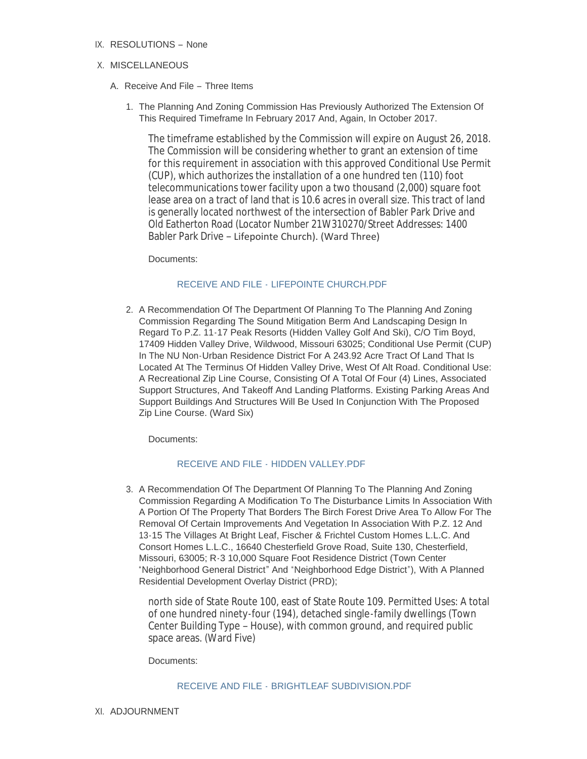IX. RESOLUTIONS - None

# X. MISCELLANEOUS

- A. Receive And File Three Items
	- 1. The Planning And Zoning Commission Has Previously Authorized The Extension Of This Required Timeframe In February 2017 And, Again, In October 2017.

The timeframe established by the Commission will expire on August 26, 2018. The Commission will be considering whether to grant an extension of time for this requirement in association with this approved Conditional Use Permit (CUP), which authorizes the installation of a one hundred ten (110) foot telecommunications tower facility upon a two thousand (2,000) square foot lease area on a tract of land that is 10.6 acres in overall size. This tract of land is generally located northwest of the intersection of Babler Park Drive and Old Eatherton Road (Locator Number 21W310270/Street Addresses: 1400 Babler Park Drive – Lifepointe Church). (Ward Three)

Documents:

# RECEIVE AND FILE - [LIFEPOINTE CHURCH.PDF](https://www.cityofwildwood.com/AgendaCenter/ViewFile/Item/17410?fileID=24829)

2. A Recommendation Of The Department Of Planning To The Planning And Zoning Commission Regarding The Sound Mitigation Berm And Landscaping Design In Regard To P.Z. 11-17 Peak Resorts (Hidden Valley Golf And Ski), C/O Tim Boyd, 17409 Hidden Valley Drive, Wildwood, Missouri 63025; Conditional Use Permit (CUP) In The NU Non-Urban Residence District For A 243.92 Acre Tract Of Land That Is Located At The Terminus Of Hidden Valley Drive, West Of Alt Road. Conditional Use: A Recreational Zip Line Course, Consisting Of A Total Of Four (4) Lines, Associated Support Structures, And Takeoff And Landing Platforms. Existing Parking Areas And Support Buildings And Structures Will Be Used In Conjunction With The Proposed Zip Line Course. (Ward Six)

Documents:

# RECEIVE AND FILE - [HIDDEN VALLEY.PDF](https://www.cityofwildwood.com/AgendaCenter/ViewFile/Item/17411?fileID=24830)

3. A Recommendation Of The Department Of Planning To The Planning And Zoning Commission Regarding A Modification To The Disturbance Limits In Association With A Portion Of The Property That Borders The Birch Forest Drive Area To Allow For The Removal Of Certain Improvements And Vegetation In Association With P.Z. 12 And 13-15 The Villages At Bright Leaf, Fischer & Frichtel Custom Homes L.L.C. And Consort Homes L.L.C., 16640 Chesterfield Grove Road, Suite 130, Chesterfield, Missouri, 63005; R-3 10,000 Square Foot Residence District (Town Center "Neighborhood General District" And "Neighborhood Edge District"), With A Planned Residential Development Overlay District (PRD);

north side of State Route 100, east of State Route 109. Permitted Uses: A total of one hundred ninety-four (194), detached single-family dwellings (Town Center Building Type – House), with common ground, and required public space areas. (Ward Five)

### Documents:

### RECEIVE AND FILE - [BRIGHTLEAF SUBDIVISION.PDF](https://www.cityofwildwood.com/AgendaCenter/ViewFile/Item/17412?fileID=24831)